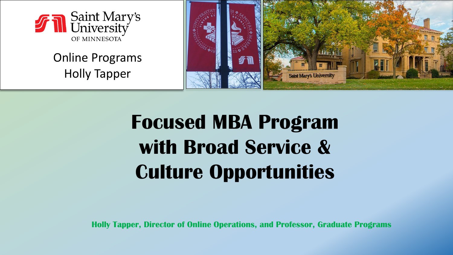

#### Online Programs Holly Tapper



# **Focused MBA Program with Broad Service & Culture Opportunities**

**Holly Tapper, Director of Online Operations, and Professor, Graduate Programs**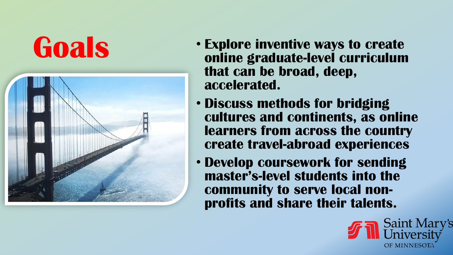# **Goals**



- **Explore inventive ways to create online graduate -level curriculum that can be broad, deep, accelerated.**
- **Discuss methods for bridging cultures and continents, as online learners from across the country create travel -abroad experiences**
- **Develop coursework for sending master's -level students into the community to serve local non profits and share their talents.**

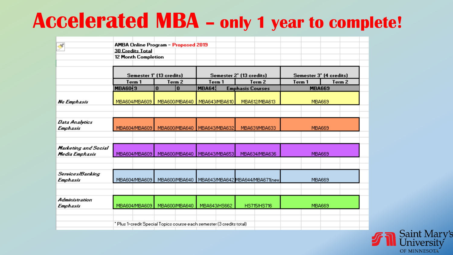# **Accelerated MBA – only 1 year to complete!**

| که                           | AMBA Online Program - Proposed 2019 |                                                                       |                               |               |                                    |               |                                              |                                                 |                         |                                    |
|------------------------------|-------------------------------------|-----------------------------------------------------------------------|-------------------------------|---------------|------------------------------------|---------------|----------------------------------------------|-------------------------------------------------|-------------------------|------------------------------------|
|                              |                                     | <b>30 Credits Total</b><br><b>12 Month Completion</b>                 |                               |               |                                    |               |                                              |                                                 |                         |                                    |
|                              |                                     |                                                                       |                               |               |                                    |               |                                              |                                                 |                         |                                    |
|                              |                                     |                                                                       | Semester 1" (13 credits)      |               |                                    |               | Semester 2" (13 credits)                     |                                                 | Semester 3" (4 credits) |                                    |
|                              | Term <sub>1</sub><br><b>MBA60 9</b> |                                                                       | Term <sub>2</sub><br>$\bf{0}$ |               | Term <sub>1</sub><br><b>MBA641</b> |               | Term <sub>2</sub><br><b>Emphasis Courses</b> |                                                 | Term <sub>1</sub>       | Term <sub>2</sub><br><b>MBA669</b> |
|                              |                                     |                                                                       | $\bf{0}$                      |               |                                    |               |                                              |                                                 |                         |                                    |
| Na Emphasis                  | MBA604/MBA609                       |                                                                       | MBA600/MBA640   MBA643/MBA610 |               |                                    |               | MBA612/MBA613                                |                                                 | <b>MBA669</b>           |                                    |
|                              |                                     |                                                                       |                               |               |                                    |               |                                              |                                                 |                         |                                    |
|                              |                                     |                                                                       |                               |               |                                    |               |                                              |                                                 |                         |                                    |
| Data Analytics               |                                     |                                                                       |                               |               |                                    |               |                                              |                                                 |                         |                                    |
| Emphasis                     |                                     | MBA604/MBA609                                                         |                               | MBA600/MBA640 |                                    | MBA643/MBA632 |                                              | MBA631/MBA633                                   |                         | <b>MBA669</b>                      |
|                              |                                     |                                                                       |                               |               |                                    |               |                                              |                                                 |                         |                                    |
| Marketing and Social         |                                     |                                                                       |                               |               |                                    |               |                                              |                                                 |                         |                                    |
| Media Emphasis               | MBA604/MBA609                       |                                                                       | MBA600/MBA640                 |               | MBA643/MBA653                      |               | MBA634/MBA636                                |                                                 | <b>MBA669</b>           |                                    |
|                              |                                     |                                                                       |                               |               |                                    |               |                                              |                                                 |                         |                                    |
|                              |                                     |                                                                       |                               |               |                                    |               |                                              |                                                 |                         |                                    |
| Services/Banking<br>Emphasis |                                     | MBA604/MBA609                                                         |                               |               |                                    |               |                                              | MBA600/MBA640   MBA643/MBA642 MBA644/MBA671(new |                         | <b>MBA669</b>                      |
|                              |                                     |                                                                       |                               |               |                                    |               |                                              |                                                 |                         |                                    |
|                              |                                     |                                                                       |                               |               |                                    |               |                                              |                                                 |                         |                                    |
| Administration               |                                     |                                                                       |                               |               |                                    |               |                                              |                                                 |                         |                                    |
| Emphasis                     |                                     |                                                                       | MBA604/MBA609   MBA600/MBA640 |               | MBA643/HS662                       |               | HS715/HS716                                  |                                                 | <b>MBA669</b>           |                                    |
|                              |                                     |                                                                       |                               |               |                                    |               |                                              |                                                 |                         |                                    |
|                              |                                     | * Plus 1-credit Special Topics course each semester (3 credits total) |                               |               |                                    |               |                                              |                                                 |                         |                                    |
|                              |                                     |                                                                       |                               |               |                                    |               |                                              |                                                 |                         |                                    |

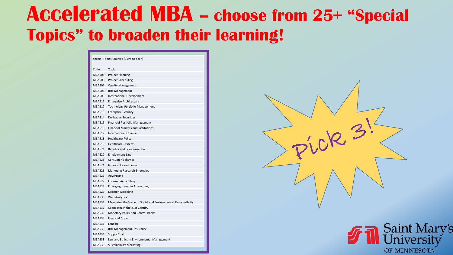### **Accelerated MBA – choose from 25+ "Special Topics" to broaden their learning!**

| Special Topics Courses (1 credit each) |                                                                |  |  |  |  |  |  |
|----------------------------------------|----------------------------------------------------------------|--|--|--|--|--|--|
|                                        |                                                                |  |  |  |  |  |  |
| Code                                   | Topic                                                          |  |  |  |  |  |  |
| <b>MBA505</b>                          | <b>Project Planning</b>                                        |  |  |  |  |  |  |
| <b>MBA506</b>                          | <b>Project Scheduling</b>                                      |  |  |  |  |  |  |
| <b>MBA507</b>                          | <b>Quality Management</b>                                      |  |  |  |  |  |  |
| <b>MBA508</b>                          | <b>Risk Management</b>                                         |  |  |  |  |  |  |
| MBA509                                 | <b>International Development</b>                               |  |  |  |  |  |  |
| <b>MBA511</b>                          | <b>Enterprise Architecture</b>                                 |  |  |  |  |  |  |
| <b>MBA512</b>                          | Technology Portfolio Management                                |  |  |  |  |  |  |
| <b>MBA513</b>                          | <b>Enterprise Security</b>                                     |  |  |  |  |  |  |
| <b>MBA514</b>                          | <b>Derivative Securities</b>                                   |  |  |  |  |  |  |
| <b>MBA515</b>                          | Financial Portfolio Management                                 |  |  |  |  |  |  |
| <b>MBA516</b>                          | <b>Financial Markets and Institutions</b>                      |  |  |  |  |  |  |
| <b>MBA517</b>                          | <b>International Finance</b>                                   |  |  |  |  |  |  |
| <b>MBA518</b>                          | <b>Healthcare Policy</b>                                       |  |  |  |  |  |  |
| <b>MBA519</b>                          | <b>Healthcare Systems</b>                                      |  |  |  |  |  |  |
| <b>MBA521</b>                          | Benefits and Compensation                                      |  |  |  |  |  |  |
| <b>MBA522</b>                          | <b>Employment Law</b>                                          |  |  |  |  |  |  |
| <b>MBA523</b>                          | Consumer Behavior                                              |  |  |  |  |  |  |
| <b>MBA524</b>                          | Issues in E-commerce                                           |  |  |  |  |  |  |
| <b>MBA525</b>                          | Marketing Research Strategies                                  |  |  |  |  |  |  |
| <b>MBA526</b>                          | Advertising                                                    |  |  |  |  |  |  |
| <b>MBA527</b>                          | <b>Forensic Accounting</b>                                     |  |  |  |  |  |  |
| <b>MBA528</b>                          | <b>Emerging Issues in Accounting</b>                           |  |  |  |  |  |  |
| <b>MBA529</b>                          | <b>Decision Modeling</b>                                       |  |  |  |  |  |  |
| <b>MBA530</b>                          | <b>Web Analytics</b>                                           |  |  |  |  |  |  |
| <b>MBA531</b>                          | Measuring the Value of Social and Environmental Responsibility |  |  |  |  |  |  |
| <b>MBA532</b>                          | Capitalism in the 21st Century                                 |  |  |  |  |  |  |
| <b>MBA533</b>                          | Monetary Policy and Central Banks                              |  |  |  |  |  |  |
| <b>MBA534</b>                          | <b>Financial Crises</b>                                        |  |  |  |  |  |  |
| <b>MBA535</b>                          | Lending                                                        |  |  |  |  |  |  |
| MBA536                                 | Risk Management, Insurance                                     |  |  |  |  |  |  |
| <b>MBA537</b>                          | Supply Chain                                                   |  |  |  |  |  |  |
| <b>MBA538</b>                          | Law and Ethics in Environmental Management                     |  |  |  |  |  |  |
| <b>MBA539</b>                          | <b>Sustainability Marketing</b>                                |  |  |  |  |  |  |



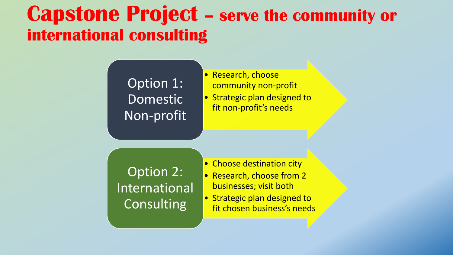### **Capstone Project – serve the community or international consulting**

#### Option 1: Domestic Non-profit

- Research, choose community non-profit
- Strategic plan designed to fit non-profit's needs

Option 2: International **Consulting** 

- Choose destination city • Research, choose from 2 businesses; visit both
- Strategic plan designed to fit chosen business's needs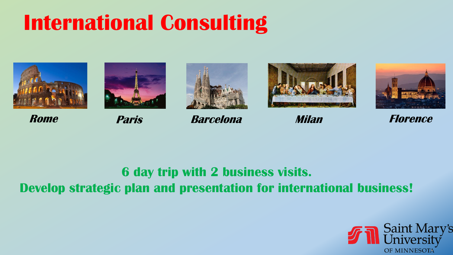# **International Consulting**









**Rome Paris Barcelona Milan Florence**





### **6 day trip with 2 business visits.**

**Develop strategic plan and presentation for international business!**